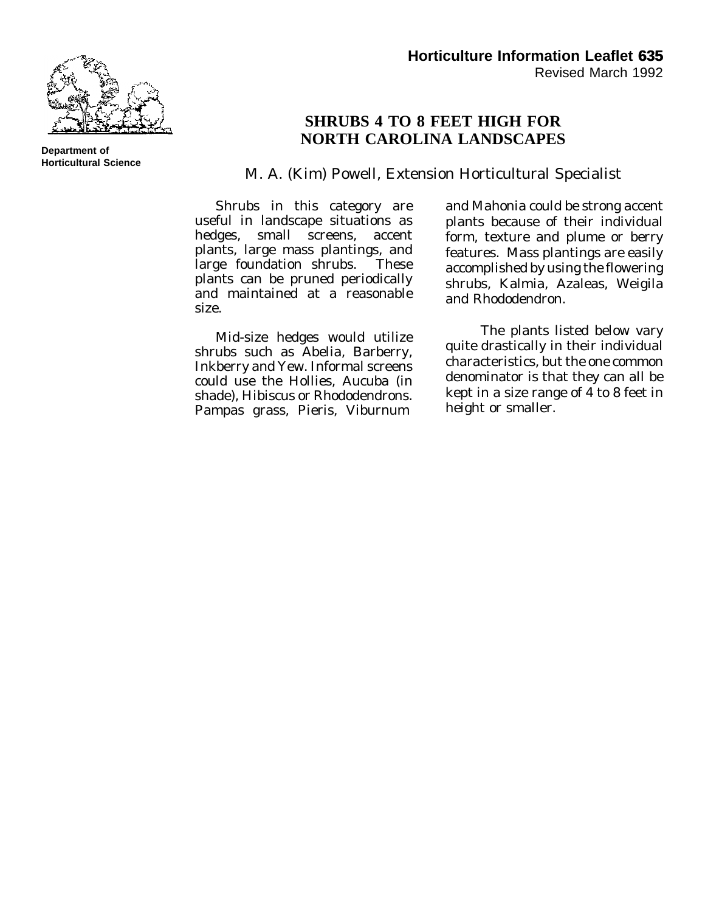

## **SHRUBS 4 TO 8 FEET HIGH FOR NORTH CAROLINA LANDSCAPES**

M. A. (Kim) Powell, Extension Horticultural Specialist

Shrubs in this category are useful in landscape situations as hedges, small screens, accent plants, large mass plantings, and large foundation shrubs. These plants can be pruned periodically and maintained at a reasonable size.

Mid-size hedges would utilize shrubs such as Abelia, Barberry, Inkberry and Yew. Informal screens could use the Hollies, Aucuba (in shade), Hibiscus or Rhododendrons. Pampas grass, Pieris, Viburnum

and Mahonia could be strong accent plants because of their individual form, texture and plume or berry features. Mass plantings are easily accomplished by using the flowering shrubs, Kalmia, Azaleas, Weigila and Rhododendron.

The plants listed below vary quite drastically in their individual characteristics, but the one common denominator is that they can all be kept in a size range of 4 to 8 feet in height or smaller.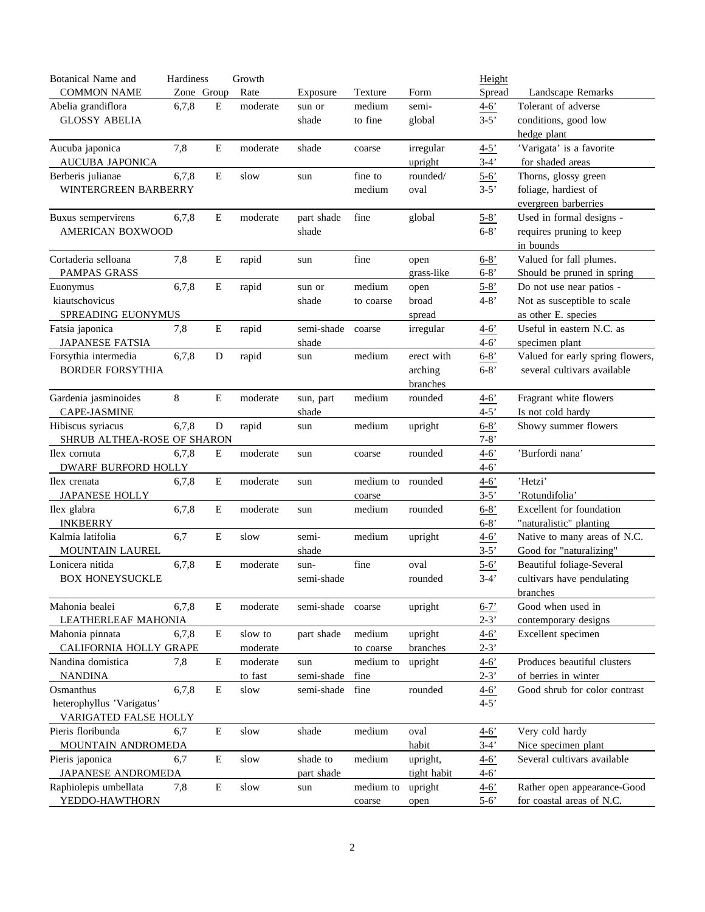| <b>Botanical Name and</b>   | Hardiness  |             | Growth   |            |                   |             | Height          |                                  |
|-----------------------------|------------|-------------|----------|------------|-------------------|-------------|-----------------|----------------------------------|
| <b>COMMON NAME</b>          | Zone Group |             | Rate     | Exposure   | Texture           | Form        | Spread          | Landscape Remarks                |
| Abelia grandiflora          | 6,7,8      | E           | moderate | sun or     | medium            | semi-       | $4 - 6'$        | Tolerant of adverse              |
| <b>GLOSSY ABELIA</b>        |            |             |          | shade      | to fine           | global      | $3-5'$          | conditions, good low             |
|                             |            |             |          |            |                   |             |                 | hedge plant                      |
| Aucuba japonica             | 7,8        | E           | moderate | shade      | coarse            | irregular   | $4 - 5'$        | 'Varigata' is a favorite         |
| AUCUBA JAPONICA             |            |             |          |            |                   | upright     | $3-4'$          | for shaded areas                 |
| Berberis julianae           | 6,7,8      | E           | slow     | sun        | fine to           | rounded/    | $5 - 6'$        | Thorns, glossy green             |
| WINTERGREEN BARBERRY        |            |             |          |            | medium            | oval        | $3-5'$          | foliage, hardiest of             |
|                             |            |             |          |            |                   |             |                 | evergreen barberries             |
| Buxus sempervirens          | 6,7,8      | $\mathbf E$ | moderate | part shade | fine              | global      | $5 - 8'$        | Used in formal designs -         |
| AMERICAN BOXWOOD            |            |             |          | shade      |                   |             | $6 - 8'$        | requires pruning to keep         |
|                             |            |             |          |            |                   |             |                 | in bounds                        |
| Cortaderia selloana         | 7,8        | $\mathbf E$ | rapid    | sun        | fine              | open        | $6 - 8'$        | Valued for fall plumes.          |
| PAMPAS GRASS                |            |             |          |            |                   | grass-like  | $6 - 8'$        | Should be pruned in spring       |
| Euonymus                    | 6,7,8      | ${\bf E}$   | rapid    | sun or     | medium            | open        | $5 - 8'$        | Do not use near patios -         |
| kiautschovicus              |            |             |          | shade      | to coarse         | broad       | $4 - 8'$        | Not as susceptible to scale      |
| SPREADING EUONYMUS          |            |             |          |            |                   | spread      |                 | as other E. species              |
| Fatsia japonica             | 7,8        | E           | rapid    | semi-shade | coarse            | irregular   | $4 - 6'$        | Useful in eastern N.C. as        |
| <b>JAPANESE FATSIA</b>      |            |             |          | shade      |                   |             | $4 - 6'$        | specimen plant                   |
| Forsythia intermedia        | 6,7,8      | D           | rapid    | sun        | medium            | erect with  | $6 - 8'$        | Valued for early spring flowers, |
| <b>BORDER FORSYTHIA</b>     |            |             |          |            |                   | arching     | $6 - 8'$        | several cultivars available      |
|                             |            |             |          |            |                   | branches    |                 |                                  |
| Gardenia jasminoides        | 8          | E           | moderate | sun, part  | medium            | rounded     | $4 - 6'$        | Fragrant white flowers           |
| CAPE-JASMINE                |            |             |          | shade      |                   |             | $4 - 5'$        | Is not cold hardy                |
| Hibiscus syriacus           | 6,7,8      | D           | rapid    | sun        | medium            | upright     | $6 - 8'$        | Showy summer flowers             |
| SHRUB ALTHEA-ROSE OF SHARON |            |             |          |            |                   |             | $7 - 8'$        |                                  |
| Ilex cornuta                | 6,7,8      | E           | moderate | sun        | coarse            | rounded     | $4 - 6'$        | 'Burfordi nana'                  |
| DWARF BURFORD HOLLY         |            |             |          |            |                   |             | $4 - 6'$        |                                  |
| Ilex crenata                | 6,7,8      | $\mathbf E$ | moderate | sun        | medium to rounded |             | $4 - 6'$        | 'Hetzi'                          |
| <b>JAPANESE HOLLY</b>       |            |             |          |            | coarse            |             | $3-5'$          | 'Rotundifolia'                   |
| Ilex glabra                 | 6,7,8      | $\mathbf E$ | moderate | sun        | medium            | rounded     | $6 - 8'$        | Excellent for foundation         |
| <b>INKBERRY</b>             |            |             |          |            |                   |             | $6 - 8'$        | "naturalistic" planting          |
| Kalmia latifolia            | 6,7        | Е           | slow     | semi-      | medium            | upright     | $4 - 6'$        | Native to many areas of N.C.     |
| MOUNTAIN LAUREL             |            |             |          | shade      |                   |             | $3-5'$          | Good for "naturalizing"          |
| Lonicera nitida             | 6,7,8      | E           | moderate | sun-       | fine              | oval        | $5 - 6'$        | Beautiful foliage-Several        |
| <b>BOX HONEYSUCKLE</b>      |            |             |          | semi-shade |                   | rounded     | $3-4'$          | cultivars have pendulating       |
|                             |            |             |          |            |                   |             |                 | branches                         |
| Mahonia bealei              | 6,7,8      | E           | moderate | semi-shade | coarse            | upright     | $6 - 7'$        | Good when used in                |
| LEATHERLEAF MAHONIA         |            |             |          |            |                   |             | $2 - 3'$        | contemporary designs             |
| Mahonia pinnata             | 6,7,8      | ${\bf E}$   | slow to  | part shade | medium            | upright     | $4 - 6'$        | Excellent specimen               |
| CALIFORNIA HOLLY GRAPE      |            |             | moderate |            | to coarse         | branches    | $2 - 3'$        |                                  |
| Nandina domistica           | 7,8        | ${\bf E}$   | moderate | sun        | medium to         | upright     | $4 - 6'$        | Produces beautiful clusters      |
| <b>NANDINA</b>              |            |             | to fast  | semi-shade | fine              |             | $2 - 3'$        | of berries in winter             |
| Osmanthus                   | 6,7,8      | E           | slow     | semi-shade | fine              | rounded     | $\frac{4-6}{ }$ | Good shrub for color contrast    |
| heterophyllus 'Varigatus'   |            |             |          |            |                   |             | $4 - 5'$        |                                  |
| VARIGATED FALSE HOLLY       |            |             |          |            |                   |             |                 |                                  |
| Pieris floribunda           | 6,7        | $\mathbf E$ | slow     | shade      | medium            | oval        | $4 - 6'$        | Very cold hardy                  |
| MOUNTAIN ANDROMEDA          |            |             |          |            |                   | habit       | $3-4'$          | Nice specimen plant              |
| Pieris japonica             | 6,7        | $\mathbf E$ | slow     | shade to   | medium            | upright,    | $4 - 6'$        | Several cultivars available      |
| JAPANESE ANDROMEDA          |            |             |          | part shade |                   | tight habit | $4 - 6'$        |                                  |
| Raphiolepis umbellata       | 7,8        | ${\bf E}$   | slow     | sun        | medium to         | upright     | $4 - 6'$        | Rather open appearance-Good      |
| YEDDO-HAWTHORN              |            |             |          |            | coarse            | open        | $5 - 6'$        | for coastal areas of N.C.        |
|                             |            |             |          |            |                   |             |                 |                                  |